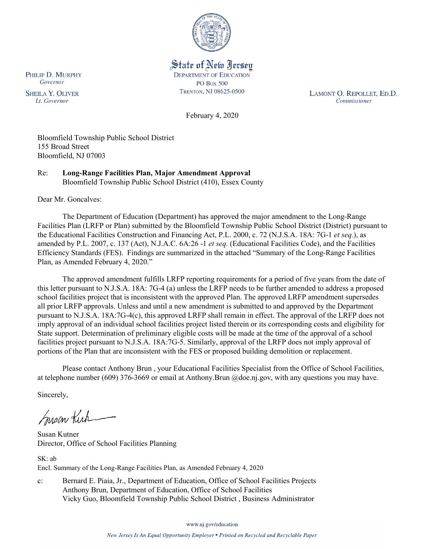

State of New Jersey **DEPARTMENT OF EDUCATION PO Box 500** TRENTON, NJ 08625-0500

LAMONT O. REPOLLET, ED.D. Commissioner

February 4, 2020

Bloomfield Township Public School District 155 Broad Street Bloomfield, NJ 07003

Re: **Long-Range Facilities Plan, Major Amendment Approval** Bloomfield Township Public School District (410), Essex County

Dear Mr. Goncalves:

The Department of Education (Department) has approved the major amendment to the Long-Range Facilities Plan (LRFP or Plan) submitted by the Bloomfield Township Public School District (District) pursuant to the Educational Facilities Construction and Financing Act, P.L. 2000, c. 72 (N.J.S.A. 18A: 7G-1 *et seq.*), as amended by P.L. 2007, c. 137 (Act), N.J.A.C. 6A:26 -1 *et seq.* (Educational Facilities Code), and the Facilities Efficiency Standards (FES). Findings are summarized in the attached "Summary of the Long-Range Facilities Plan, as Amended February 4, 2020."

The approved amendment fulfills LRFP reporting requirements for a period of five years from the date of this letter pursuant to N.J.S.A. 18A: 7G-4 (a) unless the LRFP needs to be further amended to address a proposed school facilities project that is inconsistent with the approved Plan. The approved LRFP amendment supersedes all prior LRFP approvals. Unless and until a new amendment is submitted to and approved by the Department pursuant to N.J.S.A. 18A:7G-4(c), this approved LRFP shall remain in effect. The approval of the LRFP does not imply approval of an individual school facilities project listed therein or its corresponding costs and eligibility for State support. Determination of preliminary eligible costs will be made at the time of the approval of a school facilities project pursuant to N.J.S.A. 18A:7G-5. Similarly, approval of the LRFP does not imply approval of portions of the Plan that are inconsistent with the FES or proposed building demolition or replacement.

Please contact Anthony Brun , your Educational Facilities Specialist from the Office of School Facilities, at telephone number (609) 376-3669 or email at Anthony.Brun @doe.nj.gov, with any questions you may have.

Sincerely,

Susan Kick

Susan Kutner Director, Office of School Facilities Planning

SK: ab Encl. Summary of the Long-Range Facilities Plan, as Amended February 4, 2020

c: Bernard E. Piaia, Jr., Department of Education, Office of School Facilities Projects Anthony Brun, Department of Education, Office of School Facilities Vicky Guo, Bloomfield Township Public School District , Business Administrator

www.nj.gov/education

PHILIP D. MURPHY Governor

**SHEILA Y. OLIVER** Lt. Governor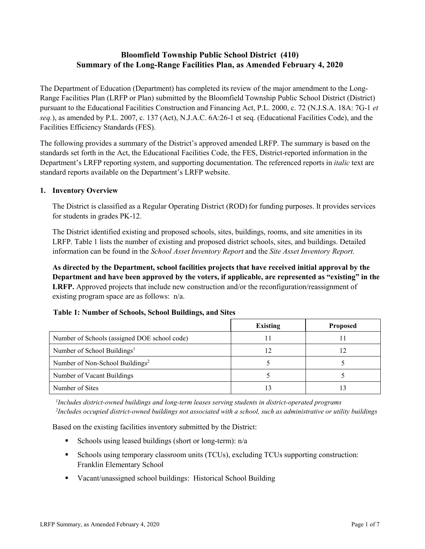# **Bloomfield Township Public School District (410) Summary of the Long-Range Facilities Plan, as Amended February 4, 2020**

The Department of Education (Department) has completed its review of the major amendment to the Long-Range Facilities Plan (LRFP or Plan) submitted by the Bloomfield Township Public School District (District) pursuant to the Educational Facilities Construction and Financing Act, P.L. 2000, c. 72 (N.J.S.A. 18A: 7G-1 *et seq.*), as amended by P.L. 2007, c. 137 (Act), N.J.A.C. 6A:26-1 et seq. (Educational Facilities Code), and the Facilities Efficiency Standards (FES).

The following provides a summary of the District's approved amended LRFP. The summary is based on the standards set forth in the Act, the Educational Facilities Code, the FES, District-reported information in the Department's LRFP reporting system, and supporting documentation. The referenced reports in *italic* text are standard reports available on the Department's LRFP website.

#### **1. Inventory Overview**

The District is classified as a Regular Operating District (ROD) for funding purposes. It provides services for students in grades PK-12.

The District identified existing and proposed schools, sites, buildings, rooms, and site amenities in its LRFP. Table 1 lists the number of existing and proposed district schools, sites, and buildings. Detailed information can be found in the *School Asset Inventory Report* and the *Site Asset Inventory Report.*

**As directed by the Department, school facilities projects that have received initial approval by the Department and have been approved by the voters, if applicable, are represented as "existing" in the LRFP.** Approved projects that include new construction and/or the reconfiguration/reassignment of existing program space are as follows: n/a.

|                                              | <b>Existing</b> | <b>Proposed</b> |
|----------------------------------------------|-----------------|-----------------|
| Number of Schools (assigned DOE school code) |                 |                 |
| Number of School Buildings <sup>1</sup>      |                 | 12              |
| Number of Non-School Buildings <sup>2</sup>  |                 |                 |
| Number of Vacant Buildings                   |                 |                 |
| Number of Sites                              |                 |                 |

*1 Includes district-owned buildings and long-term leases serving students in district-operated programs 2 Includes occupied district-owned buildings not associated with a school, such as administrative or utility buildings*

Based on the existing facilities inventory submitted by the District:

- Schools using leased buildings (short or long-term):  $n/a$
- Schools using temporary classroom units (TCUs), excluding TCUs supporting construction: Franklin Elementary School
- Vacant/unassigned school buildings: Historical School Building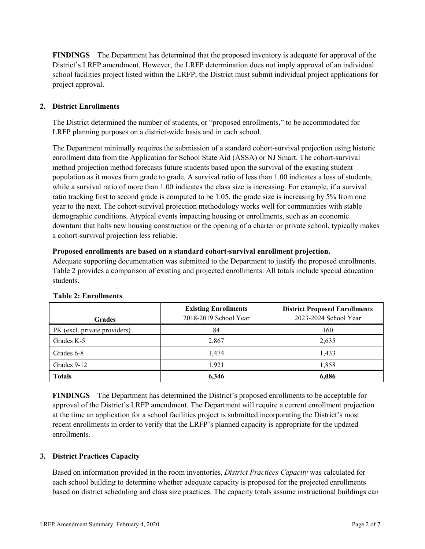**FINDINGS** The Department has determined that the proposed inventory is adequate for approval of the District's LRFP amendment. However, the LRFP determination does not imply approval of an individual school facilities project listed within the LRFP; the District must submit individual project applications for project approval.

# **2. District Enrollments**

The District determined the number of students, or "proposed enrollments," to be accommodated for LRFP planning purposes on a district-wide basis and in each school.

The Department minimally requires the submission of a standard cohort-survival projection using historic enrollment data from the Application for School State Aid (ASSA) or NJ Smart. The cohort-survival method projection method forecasts future students based upon the survival of the existing student population as it moves from grade to grade. A survival ratio of less than 1.00 indicates a loss of students, while a survival ratio of more than 1.00 indicates the class size is increasing. For example, if a survival ratio tracking first to second grade is computed to be 1.05, the grade size is increasing by 5% from one year to the next. The cohort-survival projection methodology works well for communities with stable demographic conditions. Atypical events impacting housing or enrollments, such as an economic downturn that halts new housing construction or the opening of a charter or private school, typically makes a cohort-survival projection less reliable.

#### **Proposed enrollments are based on a standard cohort-survival enrollment projection.**

Adequate supporting documentation was submitted to the Department to justify the proposed enrollments. Table 2 provides a comparison of existing and projected enrollments. All totals include special education students.

| <b>Grades</b>                | <b>Existing Enrollments</b><br>2018-2019 School Year | <b>District Proposed Enrollments</b><br>2023-2024 School Year |
|------------------------------|------------------------------------------------------|---------------------------------------------------------------|
| PK (excl. private providers) | 84                                                   | 160                                                           |
| Grades K-5                   | 2,867                                                | 2,635                                                         |
| Grades 6-8                   | 1,474                                                | 1,433                                                         |
| Grades 9-12                  | 1,921                                                | 1,858                                                         |
| <b>Totals</b>                | 6,346                                                | 6,086                                                         |

# **Table 2: Enrollments**

**FINDINGS** The Department has determined the District's proposed enrollments to be acceptable for approval of the District's LRFP amendment. The Department will require a current enrollment projection at the time an application for a school facilities project is submitted incorporating the District's most recent enrollments in order to verify that the LRFP's planned capacity is appropriate for the updated enrollments.

# **3. District Practices Capacity**

Based on information provided in the room inventories, *District Practices Capacity* was calculated for each school building to determine whether adequate capacity is proposed for the projected enrollments based on district scheduling and class size practices. The capacity totals assume instructional buildings can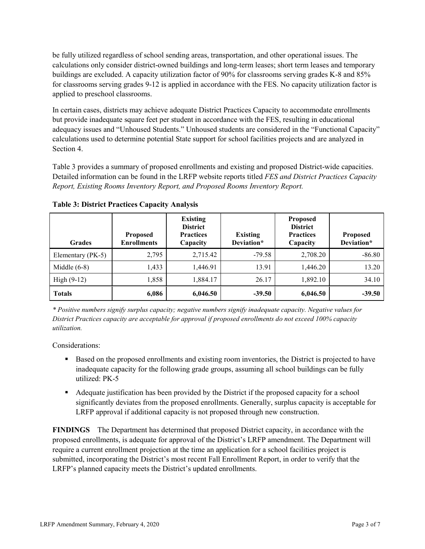be fully utilized regardless of school sending areas, transportation, and other operational issues. The calculations only consider district-owned buildings and long-term leases; short term leases and temporary buildings are excluded. A capacity utilization factor of 90% for classrooms serving grades K-8 and 85% for classrooms serving grades 9-12 is applied in accordance with the FES. No capacity utilization factor is applied to preschool classrooms.

In certain cases, districts may achieve adequate District Practices Capacity to accommodate enrollments but provide inadequate square feet per student in accordance with the FES, resulting in educational adequacy issues and "Unhoused Students." Unhoused students are considered in the "Functional Capacity" calculations used to determine potential State support for school facilities projects and are analyzed in Section 4.

Table 3 provides a summary of proposed enrollments and existing and proposed District-wide capacities. Detailed information can be found in the LRFP website reports titled *FES and District Practices Capacity Report, Existing Rooms Inventory Report, and Proposed Rooms Inventory Report.*

| <b>Grades</b>     | <b>Proposed</b><br><b>Enrollments</b> | <b>Existing</b><br><b>District</b><br><b>Practices</b><br>Capacity | <b>Existing</b><br>Deviation* | <b>Proposed</b><br><b>District</b><br><b>Practices</b><br>Capacity | <b>Proposed</b><br>Deviation* |
|-------------------|---------------------------------------|--------------------------------------------------------------------|-------------------------------|--------------------------------------------------------------------|-------------------------------|
| Elementary (PK-5) | 2,795                                 | 2,715.42                                                           | $-79.58$                      | 2,708.20                                                           | $-86.80$                      |
| Middle $(6-8)$    | 1,433                                 | 1,446.91                                                           | 13.91                         | 1,446.20                                                           | 13.20                         |
| High $(9-12)$     | 1,858                                 | 1,884.17                                                           | 26.17                         | 1,892.10                                                           | 34.10                         |
| <b>Totals</b>     | 6,086                                 | 6,046.50                                                           | $-39.50$                      | 6,046.50                                                           | $-39.50$                      |

**Table 3: District Practices Capacity Analysis**

*\* Positive numbers signify surplus capacity; negative numbers signify inadequate capacity. Negative values for District Practices capacity are acceptable for approval if proposed enrollments do not exceed 100% capacity utilization.*

Considerations:

- **Based on the proposed enrollments and existing room inventories, the District is projected to have** inadequate capacity for the following grade groups, assuming all school buildings can be fully utilized: PK-5
- Adequate justification has been provided by the District if the proposed capacity for a school significantly deviates from the proposed enrollments. Generally, surplus capacity is acceptable for LRFP approval if additional capacity is not proposed through new construction.

**FINDINGS**The Department has determined that proposed District capacity, in accordance with the proposed enrollments, is adequate for approval of the District's LRFP amendment. The Department will require a current enrollment projection at the time an application for a school facilities project is submitted, incorporating the District's most recent Fall Enrollment Report, in order to verify that the LRFP's planned capacity meets the District's updated enrollments.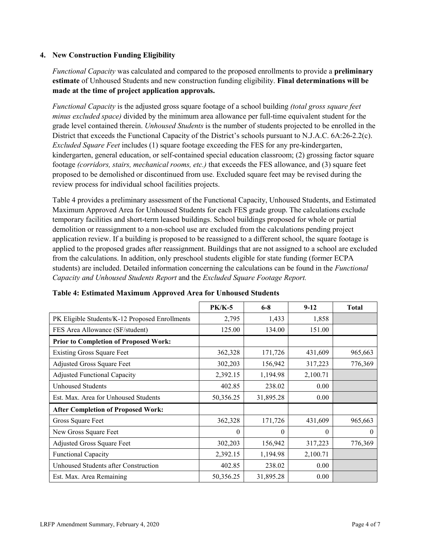#### **4. New Construction Funding Eligibility**

*Functional Capacity* was calculated and compared to the proposed enrollments to provide a **preliminary estimate** of Unhoused Students and new construction funding eligibility. **Final determinations will be made at the time of project application approvals.**

*Functional Capacity* is the adjusted gross square footage of a school building *(total gross square feet minus excluded space)* divided by the minimum area allowance per full-time equivalent student for the grade level contained therein. *Unhoused Students* is the number of students projected to be enrolled in the District that exceeds the Functional Capacity of the District's schools pursuant to N.J.A.C. 6A:26-2.2(c). *Excluded Square Feet* includes (1) square footage exceeding the FES for any pre-kindergarten, kindergarten, general education, or self-contained special education classroom; (2) grossing factor square footage *(corridors, stairs, mechanical rooms, etc.)* that exceeds the FES allowance, and (3) square feet proposed to be demolished or discontinued from use. Excluded square feet may be revised during the review process for individual school facilities projects.

Table 4 provides a preliminary assessment of the Functional Capacity, Unhoused Students, and Estimated Maximum Approved Area for Unhoused Students for each FES grade group. The calculations exclude temporary facilities and short-term leased buildings. School buildings proposed for whole or partial demolition or reassignment to a non-school use are excluded from the calculations pending project application review. If a building is proposed to be reassigned to a different school, the square footage is applied to the proposed grades after reassignment. Buildings that are not assigned to a school are excluded from the calculations. In addition, only preschool students eligible for state funding (former ECPA students) are included. Detailed information concerning the calculations can be found in the *Functional Capacity and Unhoused Students Report* and the *Excluded Square Footage Report.*

|                                                | $PK/K-5$  | $6 - 8$   | $9 - 12$ | <b>Total</b> |
|------------------------------------------------|-----------|-----------|----------|--------------|
| PK Eligible Students/K-12 Proposed Enrollments | 2,795     | 1,433     | 1,858    |              |
| FES Area Allowance (SF/student)                | 125.00    | 134.00    | 151.00   |              |
| <b>Prior to Completion of Proposed Work:</b>   |           |           |          |              |
| <b>Existing Gross Square Feet</b>              | 362,328   | 171,726   | 431,609  | 965,663      |
| Adjusted Gross Square Feet                     | 302,203   | 156,942   | 317,223  | 776,369      |
| <b>Adjusted Functional Capacity</b>            | 2,392.15  | 1,194.98  | 2,100.71 |              |
| <b>Unhoused Students</b>                       | 402.85    | 238.02    | 0.00     |              |
| Est. Max. Area for Unhoused Students           | 50,356.25 | 31,895.28 | 0.00     |              |
| <b>After Completion of Proposed Work:</b>      |           |           |          |              |
| Gross Square Feet                              | 362,328   | 171,726   | 431,609  | 965,663      |
| New Gross Square Feet                          | $\theta$  | $\theta$  | $\theta$ | $\theta$     |
| Adjusted Gross Square Feet                     | 302,203   | 156,942   | 317,223  | 776,369      |
| Functional Capacity                            | 2,392.15  | 1,194.98  | 2,100.71 |              |
| Unhoused Students after Construction           | 402.85    | 238.02    | 0.00     |              |
| Est. Max. Area Remaining                       | 50,356.25 | 31,895.28 | 0.00     |              |

| Table 4: Estimated Maximum Approved Area for Unhoused Students |  |  |  |
|----------------------------------------------------------------|--|--|--|
|----------------------------------------------------------------|--|--|--|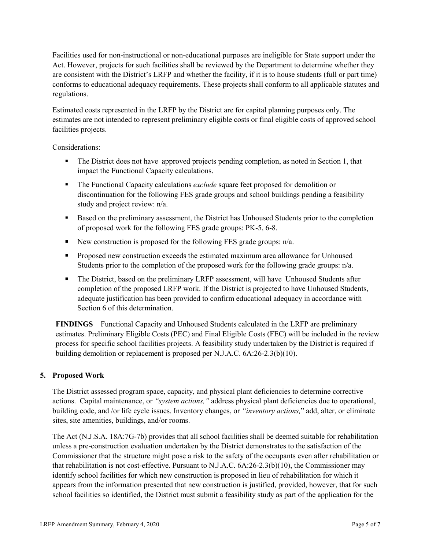Facilities used for non-instructional or non-educational purposes are ineligible for State support under the Act. However, projects for such facilities shall be reviewed by the Department to determine whether they are consistent with the District's LRFP and whether the facility, if it is to house students (full or part time) conforms to educational adequacy requirements. These projects shall conform to all applicable statutes and regulations.

Estimated costs represented in the LRFP by the District are for capital planning purposes only. The estimates are not intended to represent preliminary eligible costs or final eligible costs of approved school facilities projects.

Considerations:

- The District does not have approved projects pending completion, as noted in Section 1, that impact the Functional Capacity calculations.
- The Functional Capacity calculations *exclude* square feet proposed for demolition or discontinuation for the following FES grade groups and school buildings pending a feasibility study and project review: n/a.
- Based on the preliminary assessment, the District has Unhoused Students prior to the completion of proposed work for the following FES grade groups: PK-5, 6-8.
- New construction is proposed for the following FES grade groups:  $n/a$ .
- **Proposed new construction exceeds the estimated maximum area allowance for Unhoused** Students prior to the completion of the proposed work for the following grade groups:  $n/a$ .
- The District, based on the preliminary LRFP assessment, will have Unhoused Students after completion of the proposed LRFP work. If the District is projected to have Unhoused Students, adequate justification has been provided to confirm educational adequacy in accordance with Section 6 of this determination.

**FINDINGS** Functional Capacity and Unhoused Students calculated in the LRFP are preliminary estimates. Preliminary Eligible Costs (PEC) and Final Eligible Costs (FEC) will be included in the review process for specific school facilities projects. A feasibility study undertaken by the District is required if building demolition or replacement is proposed per N.J.A.C. 6A:26-2.3(b)(10).

# **5. Proposed Work**

The District assessed program space, capacity, and physical plant deficiencies to determine corrective actions. Capital maintenance, or *"system actions,"* address physical plant deficiencies due to operational, building code, and /or life cycle issues. Inventory changes, or *"inventory actions,*" add, alter, or eliminate sites, site amenities, buildings, and/or rooms.

The Act (N.J.S.A. 18A:7G-7b) provides that all school facilities shall be deemed suitable for rehabilitation unless a pre-construction evaluation undertaken by the District demonstrates to the satisfaction of the Commissioner that the structure might pose a risk to the safety of the occupants even after rehabilitation or that rehabilitation is not cost-effective. Pursuant to N.J.A.C. 6A:26-2.3(b)(10), the Commissioner may identify school facilities for which new construction is proposed in lieu of rehabilitation for which it appears from the information presented that new construction is justified, provided, however, that for such school facilities so identified, the District must submit a feasibility study as part of the application for the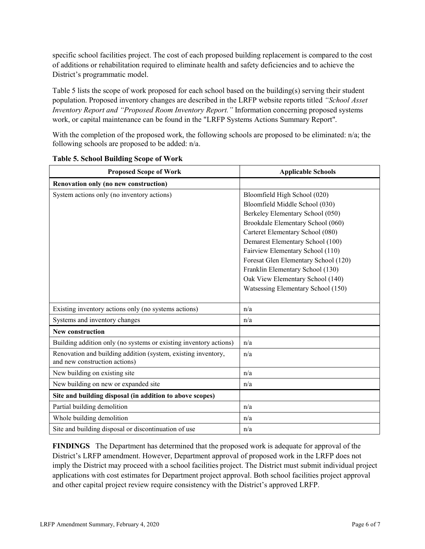specific school facilities project. The cost of each proposed building replacement is compared to the cost of additions or rehabilitation required to eliminate health and safety deficiencies and to achieve the District's programmatic model.

Table 5 lists the scope of work proposed for each school based on the building(s) serving their student population. Proposed inventory changes are described in the LRFP website reports titled *"School Asset Inventory Report and "Proposed Room Inventory Report."* Information concerning proposed systems work, or capital maintenance can be found in the "LRFP Systems Actions Summary Report".

With the completion of the proposed work, the following schools are proposed to be eliminated: n/a; the following schools are proposed to be added: n/a.

| <b>Proposed Scope of Work</b>                                                                  | <b>Applicable Schools</b>            |
|------------------------------------------------------------------------------------------------|--------------------------------------|
| Renovation only (no new construction)                                                          |                                      |
| System actions only (no inventory actions)                                                     | Bloomfield High School (020)         |
|                                                                                                | Bloomfield Middle School (030)       |
|                                                                                                | Berkeley Elementary School (050)     |
|                                                                                                | Brookdale Elementary School (060)    |
|                                                                                                | Carteret Elementary School (080)     |
|                                                                                                | Demarest Elementary School (100)     |
|                                                                                                | Fairview Elementary School (110)     |
|                                                                                                | Foresat Glen Elementary School (120) |
|                                                                                                | Franklin Elementary School (130)     |
|                                                                                                | Oak View Elementary School (140)     |
|                                                                                                | Watsessing Elementary School (150)   |
|                                                                                                |                                      |
| Existing inventory actions only (no systems actions)                                           | n/a                                  |
| Systems and inventory changes                                                                  | n/a                                  |
| New construction                                                                               |                                      |
| Building addition only (no systems or existing inventory actions)                              | n/a                                  |
| Renovation and building addition (system, existing inventory,<br>and new construction actions) | n/a                                  |
| New building on existing site                                                                  | n/a                                  |
| New building on new or expanded site                                                           | n/a                                  |
| Site and building disposal (in addition to above scopes)                                       |                                      |
| Partial building demolition                                                                    | n/a                                  |
| Whole building demolition                                                                      | n/a                                  |
| Site and building disposal or discontinuation of use                                           | n/a                                  |

#### **Table 5. School Building Scope of Work**

**FINDINGS** The Department has determined that the proposed work is adequate for approval of the District's LRFP amendment. However, Department approval of proposed work in the LRFP does not imply the District may proceed with a school facilities project. The District must submit individual project applications with cost estimates for Department project approval. Both school facilities project approval and other capital project review require consistency with the District's approved LRFP.